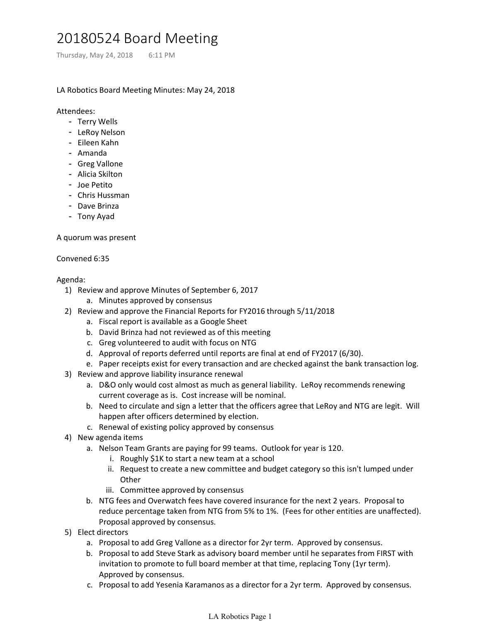## 20180524 Board Meeting 20180524 Board Meeting<br>Thursday, May 24, 2018 6:11 PM<br>LA Robotics Board Meeting Minutes: May 24, 2018<br>Attendees:

## LA Robotics Board Meeting Minutes: May 24, 2018

Attendees:

- Terry Wells
- LeRoy Nelson
- Eileen Kahn
- Amanda
- Greg Vallone
- Alicia Skilton
- Joe Petito
- Chris Hussman
- Dave Brinza
- Tony Ayad

A quorum was present

## Convened 6:35

## Agenda:

- 1) Review and approve Minutes of September 6, 2017
	- a. Minutes approved by consensus
- 2) Review and approve the Financial Reports for FY2016 through 5/11/2018
	- a. Fiscal report is available as a Google Sheet
	- b. David Brinza had not reviewed as of this meeting
	- c. Greg volunteered to audit with focus on NTG
	- d. Approval of reports deferred until reports are final at end of FY2017 (6/30).
	- e. Paper receipts exist for every transaction and are checked against the bank transaction log.
- 3) Review and approve liability insurance renewal
	- D&O only would cost almost as much as general liability. LeRoy recommends renewing a. current coverage as is. Cost increase will be nominal.
	- b. Need to circulate and sign a letter that the officers agree that LeRoy and NTG are legit. Will happen after officers determined by election.
	- c. Renewal of existing policy approved by consensus
- 4) New agenda items
	- a. Nelson Team Grants are paying for 99 teams. Outlook for year is 120.
		- i. Roughly \$1K to start a new team at a school
		- ii. Request to create a new committee and budget category so this isn't lumped under **Other**
		- iii. Committee approved by consensus
	- b. NTG fees and Overwatch fees have covered insurance for the next 2 years. Proposal to reduce percentage taken from NTG from 5% to 1%. (Fees for other entities are unaffected). Proposal approved by consensus.
- 5) Elect directors
	- a. Proposal to add Greg Vallone as a director for 2yr term. Approved by consensus.
	- b. Proposal to add Steve Stark as advisory board member until he separates from FIRST with invitation to promote to full board member at that time, replacing Tony (1yr term). Approved by consensus.
	- c. Proposal to add Yesenia Karamanos as a director for a 2yr term. Approved by consensus.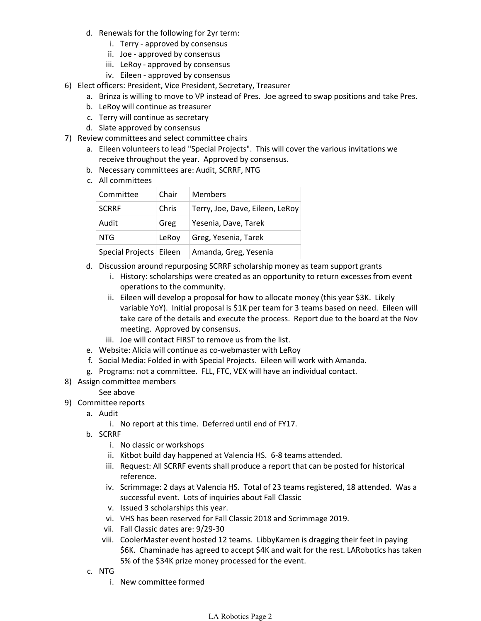- d. Renewals for the following for 2yr term:
	- i. Terry approved by consensus
	- ii. Joe approved by consensus
	- iii. LeRoy approved by consensus
	- iv. Eileen approved by consensus
- 6) Elect officers: President, Vice President, Secretary, Treasurer
	- a. Brinza is willing to move to VP instead of Pres. Joe agreed to swap positions and take Pres.
	- b. LeRoy will continue as treasurer
	- c. Terry will continue as secretary
	- d. Slate approved by consensus
- 7) Review committees and select committee chairs
	- a. Eileen volunteers to lead "Special Projects". This will cover the various invitations we receive throughout the year. Approved by consensus.
	- b. Necessary committees are: Audit, SCRRF, NTG
	- c. All committees

| Committee                 | Chair | <b>Members</b>                  |
|---------------------------|-------|---------------------------------|
| <b>SCRRF</b>              | Chris | Terry, Joe, Dave, Eileen, LeRoy |
| Audit                     | Greg  | Yesenia, Dave, Tarek            |
| NTG                       | LeRov | Greg, Yesenia, Tarek            |
| Special Projects   Eileen |       | Amanda, Greg, Yesenia           |

- d. Discussion around repurposing SCRRF scholarship money as team support grants
	- i. History: scholarships were created as an opportunity to return excesses from event operations to the community.
	- ii. Eileen will develop a proposal for how to allocate money (this year \$3K. Likely variable YoY). Initial proposal is \$1K per team for 3 teams based on need. Eileen will take care of the details and execute the process. Report due to the board at the Nov meeting. Approved by consensus.
	- iii. Joe will contact FIRST to remove us from the list.
- e. Website: Alicia will continue as co-webmaster with LeRoy
- f. Social Media: Folded in with Special Projects. Eileen will work with Amanda.
- g. Programs: not a committee. FLL, FTC, VEX will have an individual contact.
- 8) Assign committee members

See above

- 9) Committee reports
	- a. Audit
		- i. No report at this time. Deferred until end of FY17.
	- b. SCRRF
		- i. No classic or workshops
		- ii. Kitbot build day happened at Valencia HS. 6-8 teams attended.
		- iii. Request: All SCRRF events shall produce a report that can be posted for historical reference.
		- iv. Scrimmage: 2 days at Valencia HS. Total of 23 teams registered, 18 attended. Was a successful event. Lots of inquiries about Fall Classic
		- v. Issued 3 scholarships this year.
		- vi. VHS has been reserved for Fall Classic 2018 and Scrimmage 2019.
		- vii. Fall Classic dates are: 9/29-30
		- viii. CoolerMaster event hosted 12 teams. LibbyKamen is dragging their feet in paying \$6K. Chaminade has agreed to accept \$4K and wait for the rest. LARobotics has taken 5% of the \$34K prize money processed for the event.
	- c. NTG
		- i. New committee formed